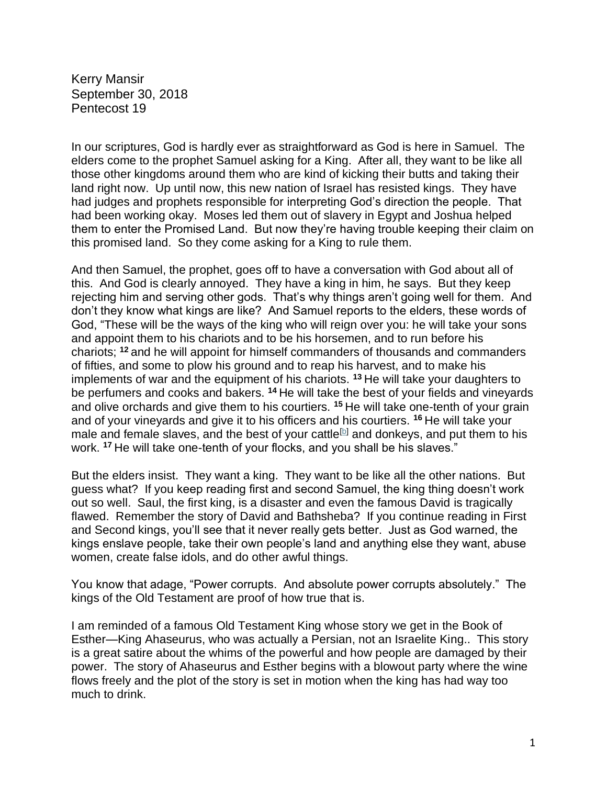Kerry Mansir September 30, 2018 Pentecost 19

In our scriptures, God is hardly ever as straightforward as God is here in Samuel. The elders come to the prophet Samuel asking for a King. After all, they want to be like all those other kingdoms around them who are kind of kicking their butts and taking their land right now. Up until now, this new nation of Israel has resisted kings. They have had judges and prophets responsible for interpreting God's direction the people. That had been working okay. Moses led them out of slavery in Egypt and Joshua helped them to enter the Promised Land. But now they're having trouble keeping their claim on this promised land. So they come asking for a King to rule them.

And then Samuel, the prophet, goes off to have a conversation with God about all of this. And God is clearly annoyed. They have a king in him, he says. But they keep rejecting him and serving other gods. That's why things aren't going well for them. And don't they know what kings are like? And Samuel reports to the elders, these words of God, "These will be the ways of the king who will reign over you: he will take your sons and appoint them to his chariots and to be his horsemen, and to run before his chariots; **<sup>12</sup>** and he will appoint for himself commanders of thousands and commanders of fifties, and some to plow his ground and to reap his harvest, and to make his implements of war and the equipment of his chariots. **<sup>13</sup>** He will take your daughters to be perfumers and cooks and bakers. **<sup>14</sup>** He will take the best of your fields and vineyards and olive orchards and give them to his courtiers. **<sup>15</sup>** He will take one-tenth of your grain and of your vineyards and give it to his officers and his courtiers. **<sup>16</sup>** He will take your male and female slaves, and the best of your cattle<sup>[\[b\]](https://www.biblegateway.com/passage/?search=1+Samuel+8&version=NRSV#fen-NRSV-7386b)</sup> and donkeys, and put them to his work. **<sup>17</sup>** He will take one-tenth of your flocks, and you shall be his slaves."

But the elders insist. They want a king. They want to be like all the other nations. But guess what? If you keep reading first and second Samuel, the king thing doesn't work out so well. Saul, the first king, is a disaster and even the famous David is tragically flawed. Remember the story of David and Bathsheba? If you continue reading in First and Second kings, you'll see that it never really gets better. Just as God warned, the kings enslave people, take their own people's land and anything else they want, abuse women, create false idols, and do other awful things.

You know that adage, "Power corrupts. And absolute power corrupts absolutely." The kings of the Old Testament are proof of how true that is.

I am reminded of a famous Old Testament King whose story we get in the Book of Esther—King Ahaseurus, who was actually a Persian, not an Israelite King.. This story is a great satire about the whims of the powerful and how people are damaged by their power. The story of Ahaseurus and Esther begins with a blowout party where the wine flows freely and the plot of the story is set in motion when the king has had way too much to drink.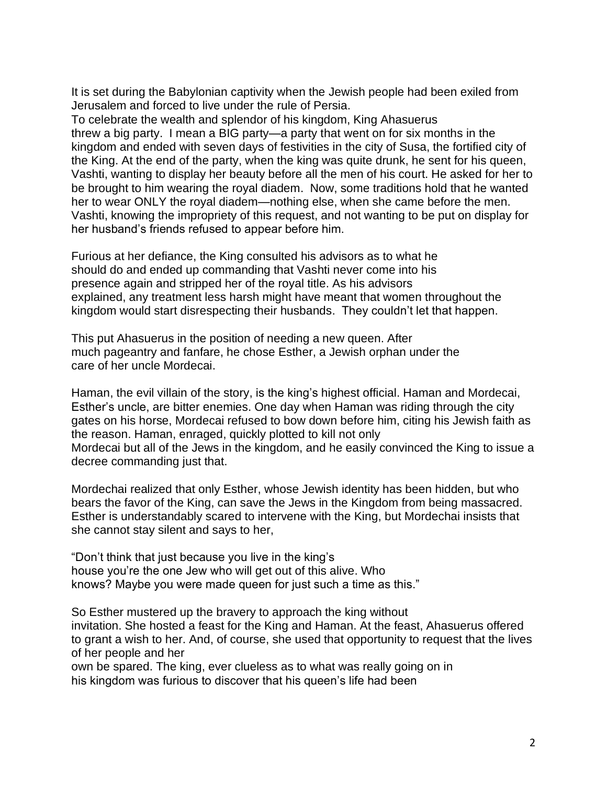It is set during the Babylonian captivity when the Jewish people had been exiled from Jerusalem and forced to live under the rule of Persia.

To celebrate the wealth and splendor of his kingdom, King Ahasuerus threw a big party. I mean a BIG party—a party that went on for six months in the kingdom and ended with seven days of festivities in the city of Susa, the fortified city of the King. At the end of the party, when the king was quite drunk, he sent for his queen, Vashti, wanting to display her beauty before all the men of his court. He asked for her to be brought to him wearing the royal diadem. Now, some traditions hold that he wanted her to wear ONLY the royal diadem—nothing else, when she came before the men. Vashti, knowing the impropriety of this request, and not wanting to be put on display for her husband's friends refused to appear before him.

Furious at her defiance, the King consulted his advisors as to what he should do and ended up commanding that Vashti never come into his presence again and stripped her of the royal title. As his advisors explained, any treatment less harsh might have meant that women throughout the kingdom would start disrespecting their husbands. They couldn't let that happen.

This put Ahasuerus in the position of needing a new queen. After much pageantry and fanfare, he chose Esther, a Jewish orphan under the care of her uncle Mordecai.

Haman, the evil villain of the story, is the king's highest official. Haman and Mordecai, Esther's uncle, are bitter enemies. One day when Haman was riding through the city gates on his horse, Mordecai refused to bow down before him, citing his Jewish faith as the reason. Haman, enraged, quickly plotted to kill not only Mordecai but all of the Jews in the kingdom, and he easily convinced the King to issue a decree commanding just that.

Mordechai realized that only Esther, whose Jewish identity has been hidden, but who bears the favor of the King, can save the Jews in the Kingdom from being massacred. Esther is understandably scared to intervene with the King, but Mordechai insists that she cannot stay silent and says to her,

"Don't think that just because you live in the king's house you're the one Jew who will get out of this alive. Who knows? Maybe you were made queen for just such a time as this."

So Esther mustered up the bravery to approach the king without invitation. She hosted a feast for the King and Haman. At the feast, Ahasuerus offered to grant a wish to her. And, of course, she used that opportunity to request that the lives of her people and her

own be spared. The king, ever clueless as to what was really going on in his kingdom was furious to discover that his queen's life had been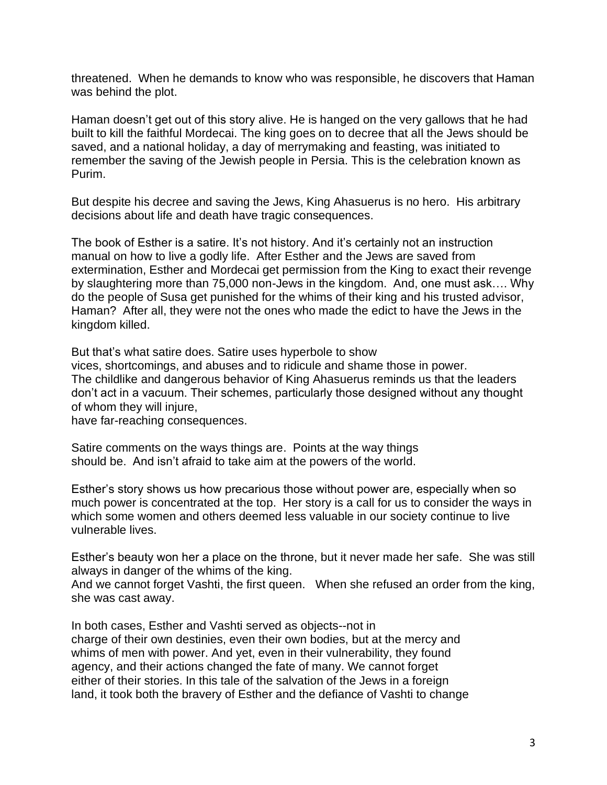threatened. When he demands to know who was responsible, he discovers that Haman was behind the plot.

Haman doesn't get out of this story alive. He is hanged on the very gallows that he had built to kill the faithful Mordecai. The king goes on to decree that all the Jews should be saved, and a national holiday, a day of merrymaking and feasting, was initiated to remember the saving of the Jewish people in Persia. This is the celebration known as Purim.

But despite his decree and saving the Jews, King Ahasuerus is no hero. His arbitrary decisions about life and death have tragic consequences.

The book of Esther is a satire. It's not history. And it's certainly not an instruction manual on how to live a godly life. After Esther and the Jews are saved from extermination, Esther and Mordecai get permission from the King to exact their revenge by slaughtering more than 75,000 non-Jews in the kingdom. And, one must ask…. Why do the people of Susa get punished for the whims of their king and his trusted advisor, Haman? After all, they were not the ones who made the edict to have the Jews in the kingdom killed.

But that's what satire does. Satire uses hyperbole to show

vices, shortcomings, and abuses and to ridicule and shame those in power. The childlike and dangerous behavior of King Ahasuerus reminds us that the leaders don't act in a vacuum. Their schemes, particularly those designed without any thought of whom they will injure,

have far-reaching consequences.

Satire comments on the ways things are. Points at the way things should be. And isn't afraid to take aim at the powers of the world.

Esther's story shows us how precarious those without power are, especially when so much power is concentrated at the top. Her story is a call for us to consider the ways in which some women and others deemed less valuable in our society continue to live vulnerable lives.

Esther's beauty won her a place on the throne, but it never made her safe. She was still always in danger of the whims of the king.

And we cannot forget Vashti, the first queen. When she refused an order from the king, she was cast away.

In both cases, Esther and Vashti served as objects--not in charge of their own destinies, even their own bodies, but at the mercy and whims of men with power. And yet, even in their vulnerability, they found agency, and their actions changed the fate of many. We cannot forget either of their stories. In this tale of the salvation of the Jews in a foreign land, it took both the bravery of Esther and the defiance of Vashti to change